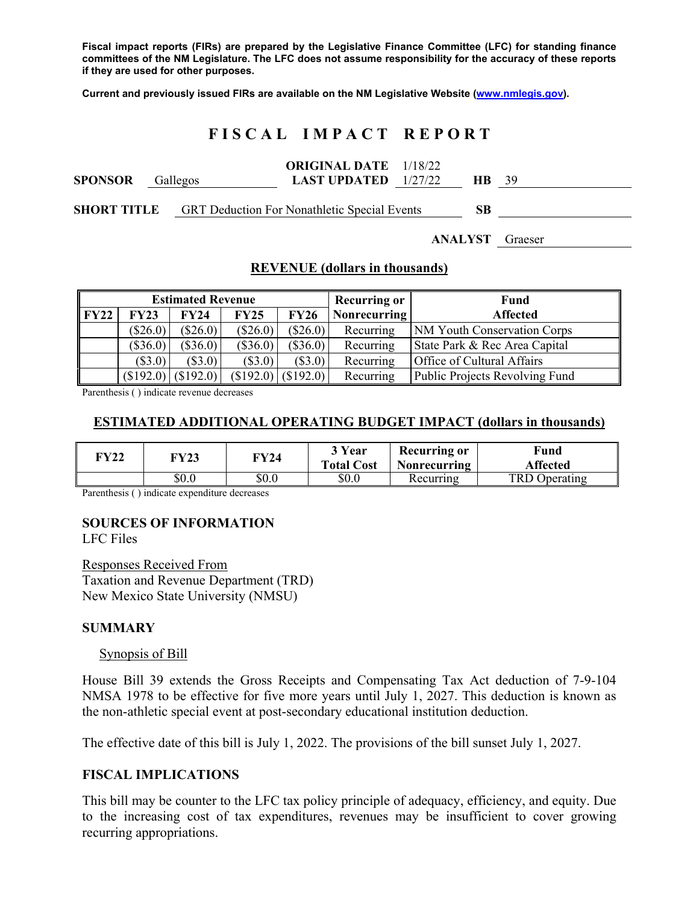**Fiscal impact reports (FIRs) are prepared by the Legislative Finance Committee (LFC) for standing finance committees of the NM Legislature. The LFC does not assume responsibility for the accuracy of these reports if they are used for other purposes.** 

**Current and previously issued FIRs are available on the NM Legislative Website (www.nmlegis.gov).** 

# **F I S C A L I M P A C T R E P O R T**

| <b>SPONSOR</b> Gallegos |  | <b>ORIGINAL DATE</b> 1/18/22<br><b>LAST UPDATED</b> $1/27/22$ | HR. | -39 |
|-------------------------|--|---------------------------------------------------------------|-----|-----|
| <b>SHORT TITLE</b>      |  | <b>GRT Deduction For Nonathletic Special Events</b>           | SВ  |     |

# **ANALYST** Graeser

### **REVENUE (dollars in thousands)**

| <b>Estimated Revenue</b> |            |             |            |             | <b>Recurring or</b> | Fund                           |
|--------------------------|------------|-------------|------------|-------------|---------------------|--------------------------------|
| $\Gamma$ FY22            | FY23       | <b>FY24</b> | FY25       | <b>FY26</b> | Nonrecurring        | Affected                       |
|                          | $(\$26.0)$ | $(\$26.0)$  | $(\$26.0)$ | $(\$26.0)$  | Recurring           | NM Youth Conservation Corps    |
|                          | $(\$36.0)$ | $(\$36.0)$  | $(\$36.0)$ | $(\$36.0)$  | Recurring           | State Park & Rec Area Capital  |
|                          | $(\$3.0)$  | $(\$3.0)$   | $(\$3.0)$  | (\$3.0)     | Recurring           | Office of Cultural Affairs     |
|                          | (\$192.0)  | (\$192.0)   | (\$192.0)  | (\$192.0)   | Recurring           | Public Projects Revolving Fund |

Parenthesis ( ) indicate revenue decreases

### **ESTIMATED ADDITIONAL OPERATING BUDGET IMPACT (dollars in thousands)**

| <b>TY22</b> | FY23    | FY24  | 3 Year<br><b>Total Cost</b> | <b>Recurring or</b><br><b>Nonrecurring</b> | Fund<br><b>Affected</b> |
|-------------|---------|-------|-----------------------------|--------------------------------------------|-------------------------|
|             | $\$0.0$ | \$0.0 | \$0.0                       | Recurring                                  | TRD Operating           |

Parenthesis ( ) indicate expenditure decreases

#### **SOURCES OF INFORMATION**

LFC Files

Responses Received From Taxation and Revenue Department (TRD) New Mexico State University (NMSU)

#### **SUMMARY**

#### Synopsis of Bill

House Bill 39 extends the Gross Receipts and Compensating Tax Act deduction of 7-9-104 NMSA 1978 to be effective for five more years until July 1, 2027. This deduction is known as the non-athletic special event at post-secondary educational institution deduction.

The effective date of this bill is July 1, 2022. The provisions of the bill sunset July 1, 2027.

#### **FISCAL IMPLICATIONS**

This bill may be counter to the LFC tax policy principle of adequacy, efficiency, and equity. Due to the increasing cost of tax expenditures, revenues may be insufficient to cover growing recurring appropriations.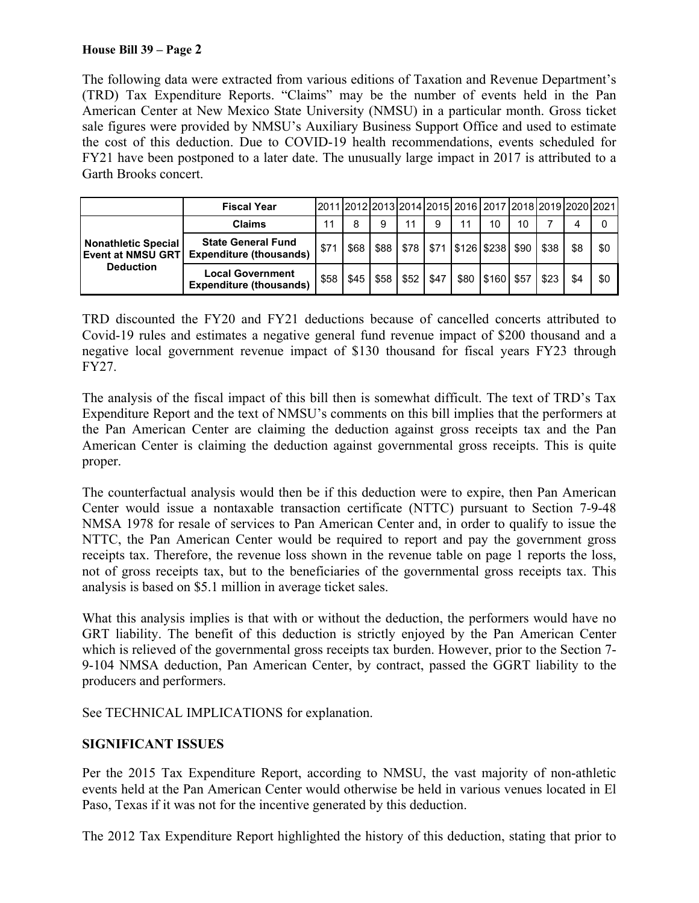## **House Bill 39 – Page 2**

The following data were extracted from various editions of Taxation and Revenue Department's (TRD) Tax Expenditure Reports. "Claims" may be the number of events held in the Pan American Center at New Mexico State University (NMSU) in a particular month. Gross ticket sale figures were provided by NMSU's Auxiliary Business Support Office and used to estimate the cost of this deduction. Due to COVID-19 health recommendations, events scheduled for FY21 have been postponed to a later date. The unusually large impact in 2017 is attributed to a Garth Brooks concert.

|                                                                     | <b>Fiscal Year</b>                                          |      |      |      |        |      | 2011 2012 2013 2014 2015 2016 2017 2018 2019 2020 2021 |                     |    |      |     |     |
|---------------------------------------------------------------------|-------------------------------------------------------------|------|------|------|--------|------|--------------------------------------------------------|---------------------|----|------|-----|-----|
|                                                                     | <b>Claims</b>                                               | 11   | 8    | 9    | 11     | 9    |                                                        | 10                  | 10 |      |     |     |
| Nonathletic Special<br><b>Event at NMSU GRT</b><br><b>Deduction</b> | <b>State General Fund</b><br><b>Expenditure (thousands)</b> | \$71 | \$68 | \$88 | \$78 L |      | \$71   \$126   \$238   \$90                            |                     |    | \$38 | \$8 | \$0 |
|                                                                     | <b>Local Government</b><br><b>Expenditure (thousands)</b>   | \$58 | \$45 | \$58 | \$52   | \$47 |                                                        | \$80   \$160   \$57 |    | \$23 |     | \$0 |

TRD discounted the FY20 and FY21 deductions because of cancelled concerts attributed to Covid-19 rules and estimates a negative general fund revenue impact of \$200 thousand and a negative local government revenue impact of \$130 thousand for fiscal years FY23 through FY27.

The analysis of the fiscal impact of this bill then is somewhat difficult. The text of TRD's Tax Expenditure Report and the text of NMSU's comments on this bill implies that the performers at the Pan American Center are claiming the deduction against gross receipts tax and the Pan American Center is claiming the deduction against governmental gross receipts. This is quite proper.

The counterfactual analysis would then be if this deduction were to expire, then Pan American Center would issue a nontaxable transaction certificate (NTTC) pursuant to Section 7-9-48 NMSA 1978 for resale of services to Pan American Center and, in order to qualify to issue the NTTC, the Pan American Center would be required to report and pay the government gross receipts tax. Therefore, the revenue loss shown in the revenue table on page 1 reports the loss, not of gross receipts tax, but to the beneficiaries of the governmental gross receipts tax. This analysis is based on \$5.1 million in average ticket sales.

What this analysis implies is that with or without the deduction, the performers would have no GRT liability. The benefit of this deduction is strictly enjoyed by the Pan American Center which is relieved of the governmental gross receipts tax burden. However, prior to the Section 7- 9-104 NMSA deduction, Pan American Center, by contract, passed the GGRT liability to the producers and performers.

See TECHNICAL IMPLICATIONS for explanation.

## **SIGNIFICANT ISSUES**

Per the 2015 Tax Expenditure Report, according to NMSU, the vast majority of non-athletic events held at the Pan American Center would otherwise be held in various venues located in El Paso, Texas if it was not for the incentive generated by this deduction.

The 2012 Tax Expenditure Report highlighted the history of this deduction, stating that prior to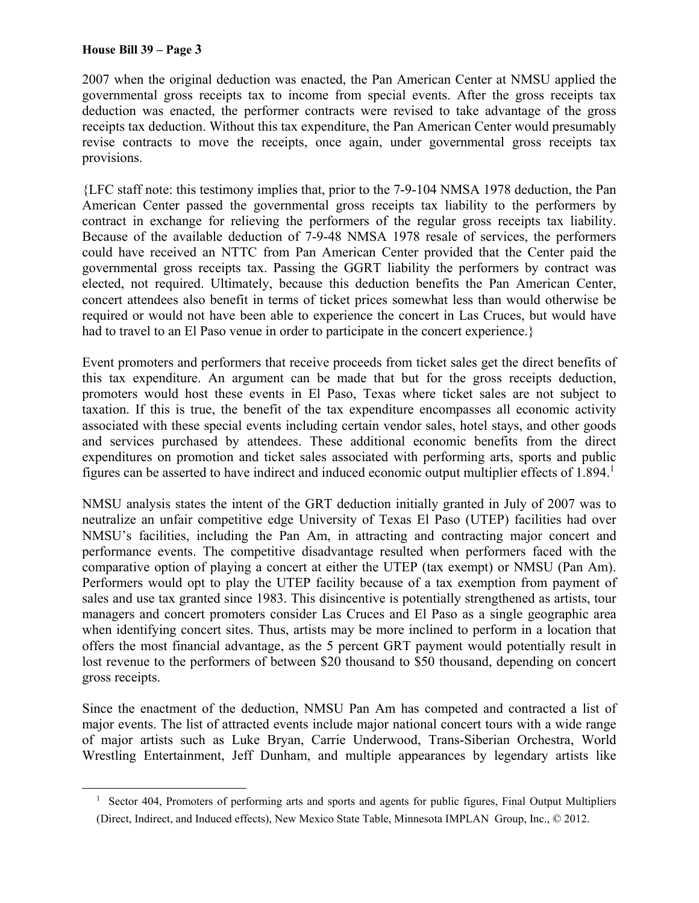2007 when the original deduction was enacted, the Pan American Center at NMSU applied the governmental gross receipts tax to income from special events. After the gross receipts tax deduction was enacted, the performer contracts were revised to take advantage of the gross receipts tax deduction. Without this tax expenditure, the Pan American Center would presumably revise contracts to move the receipts, once again, under governmental gross receipts tax provisions.

{LFC staff note: this testimony implies that, prior to the 7-9-104 NMSA 1978 deduction, the Pan American Center passed the governmental gross receipts tax liability to the performers by contract in exchange for relieving the performers of the regular gross receipts tax liability. Because of the available deduction of 7-9-48 NMSA 1978 resale of services, the performers could have received an NTTC from Pan American Center provided that the Center paid the governmental gross receipts tax. Passing the GGRT liability the performers by contract was elected, not required. Ultimately, because this deduction benefits the Pan American Center, concert attendees also benefit in terms of ticket prices somewhat less than would otherwise be required or would not have been able to experience the concert in Las Cruces, but would have had to travel to an El Paso venue in order to participate in the concert experience.}

Event promoters and performers that receive proceeds from ticket sales get the direct benefits of this tax expenditure. An argument can be made that but for the gross receipts deduction, promoters would host these events in El Paso, Texas where ticket sales are not subject to taxation. If this is true, the benefit of the tax expenditure encompasses all economic activity associated with these special events including certain vendor sales, hotel stays, and other goods and services purchased by attendees. These additional economic benefits from the direct expenditures on promotion and ticket sales associated with performing arts, sports and public figures can be asserted to have indirect and induced economic output multiplier effects of 1.894.<sup>1</sup>

NMSU analysis states the intent of the GRT deduction initially granted in July of 2007 was to neutralize an unfair competitive edge University of Texas El Paso (UTEP) facilities had over NMSU's facilities, including the Pan Am, in attracting and contracting major concert and performance events. The competitive disadvantage resulted when performers faced with the comparative option of playing a concert at either the UTEP (tax exempt) or NMSU (Pan Am). Performers would opt to play the UTEP facility because of a tax exemption from payment of sales and use tax granted since 1983. This disincentive is potentially strengthened as artists, tour managers and concert promoters consider Las Cruces and El Paso as a single geographic area when identifying concert sites. Thus, artists may be more inclined to perform in a location that offers the most financial advantage, as the 5 percent GRT payment would potentially result in lost revenue to the performers of between \$20 thousand to \$50 thousand, depending on concert gross receipts.

Since the enactment of the deduction, NMSU Pan Am has competed and contracted a list of major events. The list of attracted events include major national concert tours with a wide range of major artists such as Luke Bryan, Carrie Underwood, Trans-Siberian Orchestra, World Wrestling Entertainment, Jeff Dunham, and multiple appearances by legendary artists like

<sup>1</sup> Sector 404, Promoters of performing arts and sports and agents for public figures, Final Output Multipliers (Direct, Indirect, and Induced effects), New Mexico State Table, Minnesota IMPLAN Group, Inc., © 2012.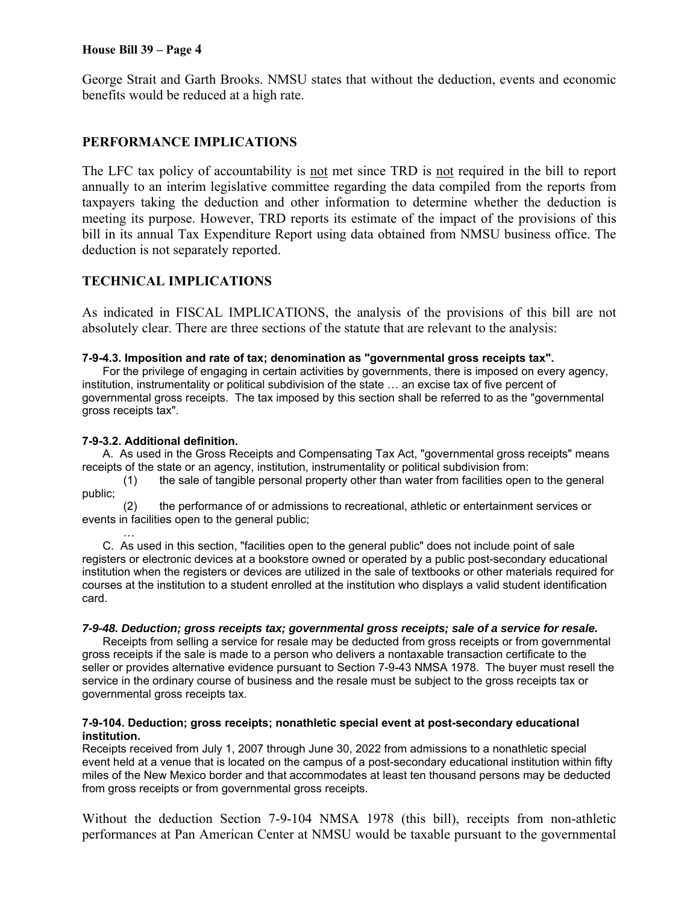#### **House Bill 39 – Page 4**

George Strait and Garth Brooks. NMSU states that without the deduction, events and economic benefits would be reduced at a high rate.

## **PERFORMANCE IMPLICATIONS**

The LFC tax policy of accountability is not met since TRD is not required in the bill to report annually to an interim legislative committee regarding the data compiled from the reports from taxpayers taking the deduction and other information to determine whether the deduction is meeting its purpose. However, TRD reports its estimate of the impact of the provisions of this bill in its annual Tax Expenditure Report using data obtained from NMSU business office. The deduction is not separately reported.

## **TECHNICAL IMPLICATIONS**

As indicated in FISCAL IMPLICATIONS, the analysis of the provisions of this bill are not absolutely clear. There are three sections of the statute that are relevant to the analysis:

#### **7-9-4.3. Imposition and rate of tax; denomination as "governmental gross receipts tax".**

For the privilege of engaging in certain activities by governments, there is imposed on every agency, institution, instrumentality or political subdivision of the state … an excise tax of five percent of governmental gross receipts. The tax imposed by this section shall be referred to as the "governmental gross receipts tax".

#### **7-9-3.2. Additional definition.**

A. As used in the Gross Receipts and Compensating Tax Act, "governmental gross receipts" means receipts of the state or an agency, institution, instrumentality or political subdivision from:

(1) the sale of tangible personal property other than water from facilities open to the general public;

(2) the performance of or admissions to recreational, athletic or entertainment services or events in facilities open to the general public;

… C. As used in this section, "facilities open to the general public" does not include point of sale registers or electronic devices at a bookstore owned or operated by a public post-secondary educational institution when the registers or devices are utilized in the sale of textbooks or other materials required for courses at the institution to a student enrolled at the institution who displays a valid student identification card.

#### *7-9-48. Deduction; gross receipts tax; governmental gross receipts; sale of a service for resale.*

Receipts from selling a service for resale may be deducted from gross receipts or from governmental gross receipts if the sale is made to a person who delivers a nontaxable transaction certificate to the seller or provides alternative evidence pursuant to Section 7-9-43 NMSA 1978. The buyer must resell the service in the ordinary course of business and the resale must be subject to the gross receipts tax or governmental gross receipts tax.

#### **7-9-104. Deduction; gross receipts; nonathletic special event at post-secondary educational institution.**

Receipts received from July 1, 2007 through June 30, 2022 from admissions to a nonathletic special event held at a venue that is located on the campus of a post-secondary educational institution within fifty miles of the New Mexico border and that accommodates at least ten thousand persons may be deducted from gross receipts or from governmental gross receipts.

Without the deduction Section 7-9-104 NMSA 1978 (this bill), receipts from non-athletic performances at Pan American Center at NMSU would be taxable pursuant to the governmental